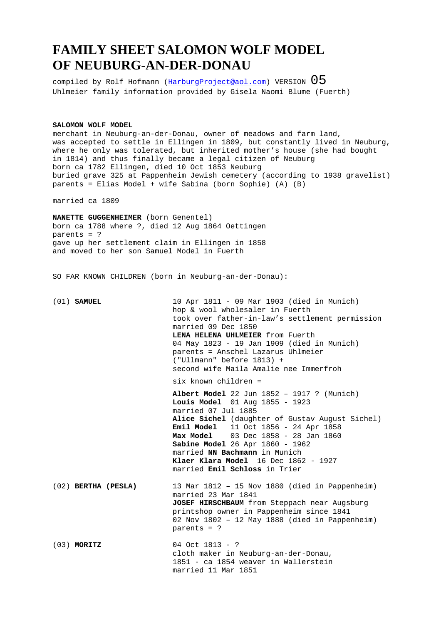## **FAMILY SHEET SALOMON WOLF MODEL OF NEUBURG-AN-DER-DONAU**

compiled by Rolf Hofmann (HarburgProject@aol.com) VERSION  $05$ Uhlmeier family information provided by Gisela Naomi Blume (Fuerth)

**SALOMON WOLF MODEL** 

merchant in Neuburg-an-der-Donau, owner of meadows and farm land, was accepted to settle in Ellingen in 1809, but constantly lived in Neuburg, where he only was tolerated, but inherited mother's house (she had bought in 1814) and thus finally became a legal citizen of Neuburg born ca 1782 Ellingen, died 10 Oct 1853 Neuburg buried grave 325 at Pappenheim Jewish cemetery (according to 1938 gravelist) parents = Elias Model + wife Sabina (born Sophie) (A) (B)

married ca 1809

**NANETTE GUGGENHEIMER** (born Genentel) born ca 1788 where ?, died 12 Aug 1864 Oettingen parents = ? gave up her settlement claim in Ellingen in 1858 and moved to her son Samuel Model in Fuerth

SO FAR KNOWN CHILDREN (born in Neuburg-an-der-Donau):

| $(01)$ SAMUEL         | 10 Apr 1811 - 09 Mar 1903 (died in Munich)<br>hop & wool wholesaler in Fuerth<br>took over father-in-law's settlement permission<br>married 09 Dec 1850<br>LENA HELENA UHLMEIER from Fuerth<br>04 May 1823 - 19 Jan 1909 (died in Munich)<br>parents = Anschel Lazarus Uhlmeier<br>("Ullmann" before 1813) +<br>second wife Maila Amalie nee Immerfroh                                             |
|-----------------------|----------------------------------------------------------------------------------------------------------------------------------------------------------------------------------------------------------------------------------------------------------------------------------------------------------------------------------------------------------------------------------------------------|
|                       | six known children =                                                                                                                                                                                                                                                                                                                                                                               |
|                       | Albert Model 22 Jun $1852 - 1917$ ? (Munich)<br>Louis Model 01 Aug 1855 - 1923<br>married 07 Jul 1885<br>Alice Sichel (daughter of Gustav August Sichel)<br><b>Emil Model</b> 11 Oct 1856 - 24 Apr 1858<br><b>Max Model</b> 03 Dec 1858 - 28 Jan 1860<br>Sabine Model 26 Apr 1860 - 1962<br>married NN Bachmann in Munich<br>Klaer Klara Model 16 Dec 1862 - 1927<br>married Emil Schloss in Trier |
| $(02)$ BERTHA (PESLA) | 13 Mar 1812 - 15 Nov 1880 (died in Pappenheim)<br>married 23 Mar 1841<br>JOSEF HIRSCHBAUM from Steppach near Augsburg<br>printshop owner in Pappenheim since 1841<br>02 Nov 1802 - 12 May 1888 (died in Pappenheim)<br>parents = $?$                                                                                                                                                               |
| $(03)$ MORITZ         | 04 Oct $1813 - ?$<br>cloth maker in Neuburg-an-der-Donau,<br>1851 - ca 1854 weaver in Wallerstein<br>married 11 Mar 1851                                                                                                                                                                                                                                                                           |